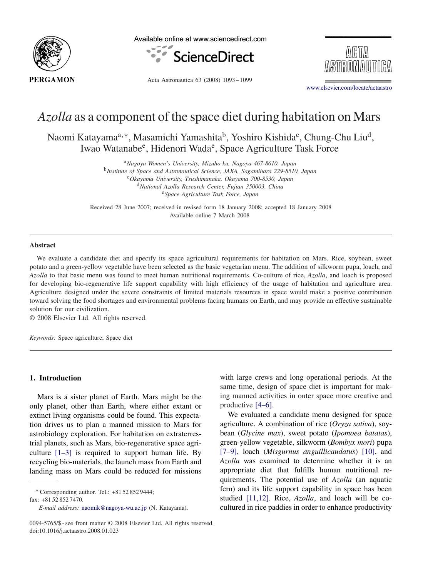

Available online at www.sciencedirect.com



Acta Astronautica 63 (2008) 1093 – 1099

AGTA ASTROMADTI

[www.elsevier.com/locate/actaastro](http://www.elsevier.com/locate/actaastro)

# *Azolla* as a component of the space diet during habitation on Mars

Naomi Katayama<sup>a,∗</sup>, Masamichi Yamashita<sup>b</sup>, Yoshiro Kishida<sup>c</sup>, Chung-Chu Liu<sup>d</sup>, Iwao Watanabe<sup>e</sup>, Hidenori Wada<sup>e</sup>, Space Agriculture Task Force

<sup>a</sup>*Nagoya Women's University, Mizuho-ku, Nagoya 467-8610, Japan*

<sup>b</sup>*Institute of Space and Astronautical Science, JAXA, Sagamihara 229-8510, Japan* <sup>c</sup>*Okayama University, Tsushimanaka, Okayama 700-8530, Japan* <sup>d</sup>*National Azolla Research Center, Fujian 350003, China* <sup>e</sup>*Space Agriculture Task Force, Japan*

Received 28 June 2007; received in revised form 18 January 2008; accepted 18 January 2008 Available online 7 March 2008

#### **Abstract**

We evaluate a candidate diet and specify its space agricultural requirements for habitation on Mars. Rice, soybean, sweet potato and a green-yellow vegetable have been selected as the basic vegetarian menu. The addition of silkworm pupa, loach, and *Azolla* to that basic menu was found to meet human nutritional requirements. Co-culture of rice, *Azolla*, and loach is proposed for developing bio-regenerative life support capability with high efficiency of the usage of habitation and agriculture area. Agriculture designed under the severe constraints of limited materials resources in space would make a positive contribution toward solving the food shortages and environmental problems facing humans on Earth, and may provide an effective sustainable solution for our civilization.

© 2008 Elsevier Ltd. All rights reserved.

*Keywords:* Space agriculture; Space diet

## **1. Introduction**

Mars is a sister planet of Earth. Mars might be the only planet, other than Earth, where either extant or extinct living organisms could be found. This expectation drives us to plan a manned mission to Mars for astrobiology exploration. For habitation on extraterrestrial planets, such as Mars, bio-regenerative space agriculture [1–3] is required to support human life. By recycling bio-materials, the launch mass from Earth and landing mass on Mars could be reduced for missions

∗ Corresponding author. Tel.: +81 52 852 9444;

fax: +81 52 852 7470.

with large crews and long operational periods. At the same time, design of space diet is important for making manned activities in outer space more creative and productive [4–6].

We evaluated a candidate menu designed for space agriculture. A combination of rice (*Oryza sativa*), soybean (*Glycine max*), sweet potato (*Ipomoea batatas*), green-yellow vegetable, silkworm (*Bombyx mori*) pupa [7–9], loach (*Misgurnus anguillicaudatus*) [\[10\],](#page-6-0) and *Azolla* was examined to determine whether it is an appropriate diet that fulfills human nutritional requirements. The potential use of *Azolla* (an aquatic fern) and its life support capability in space has been studied [11,12]. Rice, *Azolla*, and loach will be cocultured in rice paddies in order to enhance productivity

*E-mail address:* [naomik@nagoya-wu.ac.jp](mailto:naomik@nagoya-wu.ac.jp) (N. Katayama).

<sup>0094-5765/\$ -</sup> see front matter © 2008 Elsevier Ltd. All rights reserved. doi:10.1016/j.actaastro.2008.01.023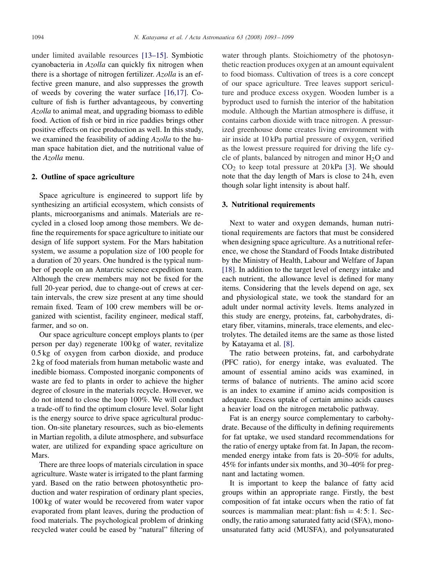under limited available resources [13–15]. Symbiotic cyanobacteria in *Azolla* can quickly fix nitrogen when there is a shortage of nitrogen fertilizer. *Azolla* is an effective green manure, and also suppresses the growth of weeds by covering the water surface [16,17]. Coculture of fish is further advantageous, by converting *Azolla* to animal meat, and upgrading biomass to edible food. Action of fish or bird in rice paddies brings other positive effects on rice production as well. In this study, we examined the feasibility of adding *Azolla* to the human space habitation diet, and the nutritional value of the *Azolla* menu.

## **2. Outline of space agriculture**

Space agriculture is engineered to support life by synthesizing an artificial ecosystem, which consists of plants, microorganisms and animals. Materials are recycled in a closed loop among those members. We define the requirements for space agriculture to initiate our design of life support system. For the Mars habitation system, we assume a population size of 100 people for a duration of 20 years. One hundred is the typical number of people on an Antarctic science expedition team. Although the crew members may not be fixed for the full 20-year period, due to change-out of crews at certain intervals, the crew size present at any time should remain fixed. Team of 100 crew members will be organized with scientist, facility engineer, medical staff, farmer, and so on.

Our space agriculture concept employs plants to (per person per day) regenerate 100 kg of water, revitalize 0.5 kg of oxygen from carbon dioxide, and produce 2 kg of food materials from human metabolic waste and inedible biomass. Composted inorganic components of waste are fed to plants in order to achieve the higher degree of closure in the materials recycle. However, we do not intend to close the loop 100%. We will conduct a trade-off to find the optimum closure level. Solar light is the energy source to drive space agricultural production. On-site planetary resources, such as bio-elements in Martian regolith, a dilute atmosphere, and subsurface water, are utilized for expanding space agriculture on Mars.

There are three loops of materials circulation in space agriculture. Waste water is irrigated to the plant farming yard. Based on the ratio between photosynthetic production and water respiration of ordinary plant species, 100 kg of water would be recovered from water vapor evaporated from plant leaves, during the production of food materials. The psychological problem of drinking recycled water could be eased by "natural" filtering of water through plants. Stoichiometry of the photosynthetic reaction produces oxygen at an amount equivalent to food biomass. Cultivation of trees is a core concept of our space agriculture. Tree leaves support sericulture and produce excess oxygen. Wooden lumber is a byproduct used to furnish the interior of the habitation module. Although the Martian atmosphere is diffuse, it contains carbon dioxide with trace nitrogen. A pressurized greenhouse dome creates living environment with air inside at 10 kPa partial pressure of oxygen, verified as the lowest pressure required for driving the life cycle of plants, balanced by nitrogen and minor  $H<sub>2</sub>O$  and  $CO<sub>2</sub>$  to keep total pressure at  $20$  kPa [\[3\].](#page-6-0) We should note that the day length of Mars is close to 24 h, even though solar light intensity is about half.

### **3. Nutritional requirements**

Next to water and oxygen demands, human nutritional requirements are factors that must be considered when designing space agriculture. As a nutritional reference, we chose the Standard of Foods Intake distributed by the Ministry of Health, Labour and Welfare of Japan [\[18\].](#page-6-0) In addition to the target level of energy intake and each nutrient, the allowance level is defined for many items. Considering that the levels depend on age, sex and physiological state, we took the standard for an adult under normal activity levels. Items analyzed in this study are energy, proteins, fat, carbohydrates, dietary fiber, vitamins, minerals, trace elements, and electrolytes. The detailed items are the same as those listed by Katayama et al. [\[8\].](#page-6-0)

The ratio between proteins, fat, and carbohydrate (PFC ratio), for energy intake, was evaluated. The amount of essential amino acids was examined, in terms of balance of nutrients. The amino acid score is an index to examine if amino acids composition is adequate. Excess uptake of certain amino acids causes a heavier load on the nitrogen metabolic pathway.

Fat is an energy source complementary to carbohydrate. Because of the difficulty in defining requirements for fat uptake, we used standard recommendations for the ratio of energy uptake from fat. In Japan, the recommended energy intake from fats is 20–50% for adults, 45% for infants under six months, and 30–40% for pregnant and lactating women.

It is important to keep the balance of fatty acid groups within an appropriate range. Firstly, the best composition of fat intake occurs when the ratio of fat sources is mammalian meat: plant:  $fish = 4:5:1$ . Secondly, the ratio among saturated fatty acid (SFA), monounsaturated fatty acid (MUSFA), and polyunsaturated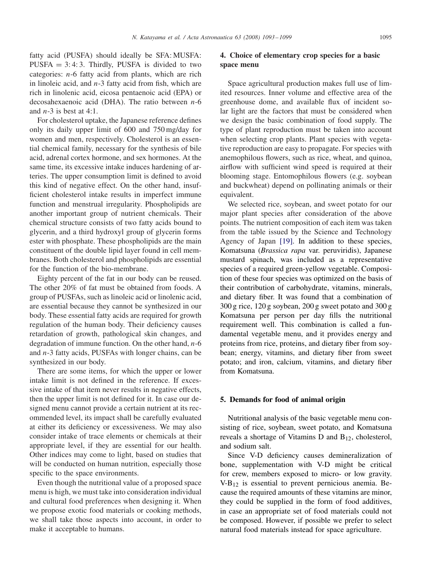fatty acid (PUSFA) should ideally be SFA: MUSFA: PUSFA =  $3:4:3$ . Thirdly, PUSFA is divided to two categories:  $n-6$  fatty acid from plants, which are rich in linoleic acid, and  $n-3$  fatty acid from fish, which are rich in linolenic acid, eicosa pentaenoic acid (EPA) or decosahexaenoic acid (DHA). The ratio between  $n-6$ and  $n-3$  is best at 4:1.

For cholesterol uptake, the Japanese reference defines only its daily upper limit of 600 and 750 mg/day for women and men, respectively. Cholesterol is an essential chemical family, necessary for the synthesis of bile acid, adrenal cortex hormone, and sex hormones. At the same time, its excessive intake induces hardening of arteries. The upper consumption limit is defined to avoid this kind of negative effect. On the other hand, insufficient cholesterol intake results in imperfect immune function and menstrual irregularity. Phospholipids are another important group of nutrient chemicals. Their chemical structure consists of two fatty acids bound to glycerin, and a third hydroxyl group of glycerin forms ester with phosphate. These phospholipids are the main constituent of the double lipid layer found in cell membranes. Both cholesterol and phospholipids are essential for the function of the bio-membrane.

Eighty percent of the fat in our body can be reused. The other 20% of fat must be obtained from foods. A group of PUSFAs, such as linoleic acid or linolenic acid, are essential because they cannot be synthesized in our body. These essential fatty acids are required for growth regulation of the human body. Their deficiency causes retardation of growth, pathological skin changes, and degradation of immune function. On the other hand,  $n-6$ and  $n-3$  fatty acids, PUSFAs with longer chains, can be synthesized in our body.

There are some items, for which the upper or lower intake limit is not defined in the reference. If excessive intake of that item never results in negative effects, then the upper limit is not defined for it. In case our designed menu cannot provide a certain nutrient at its recommended level, its impact shall be carefully evaluated at either its deficiency or excessiveness. We may also consider intake of trace elements or chemicals at their appropriate level, if they are essential for our health. Other indices may come to light, based on studies that will be conducted on human nutrition, especially those specific to the space environments.

Even though the nutritional value of a proposed space menu is high, we must take into consideration individual and cultural food preferences when designing it. When we propose exotic food materials or cooking methods, we shall take those aspects into account, in order to make it acceptable to humans.

## **4. Choice of elementary crop species for a basic space menu**

Space agricultural production makes full use of limited resources. Inner volume and effective area of the greenhouse dome, and available flux of incident solar light are the factors that must be considered when we design the basic combination of food supply. The type of plant reproduction must be taken into account when selecting crop plants. Plant species with vegetative reproduction are easy to propagate. For species with anemophilous flowers, such as rice, wheat, and quinoa, airflow with sufficient wind speed is required at their blooming stage. Entomophilous flowers (e.g. soybean and buckwheat) depend on pollinating animals or their equivalent.

We selected rice, soybean, and sweet potato for our major plant species after consideration of the above points. The nutrient composition of each item was taken from the table issued by the Science and Technology Agency of Japan [\[19\].](#page-6-0) In addition to these species, Komatsuna (*Brassica rapa* var. peruviridis), Japanese mustard spinach, was included as a representative species of a required green-yellow vegetable. Composition of these four species was optimized on the basis of their contribution of carbohydrate, vitamins, minerals, and dietary fiber. It was found that a combination of 300 g rice, 120 g soybean, 200 g sweet potato and 300 g Komatsuna per person per day fills the nutritional requirement well. This combination is called a fundamental vegetable menu, and it provides energy and proteins from rice, proteins, and dietary fiber from soybean; energy, vitamins, and dietary fiber from sweet potato; and iron, calcium, vitamins, and dietary fiber from Komatsuna.

#### **5. Demands for food of animal origin**

Nutritional analysis of the basic vegetable menu consisting of rice, soybean, sweet potato, and Komatsuna reveals a shortage of Vitamins D and B12, cholesterol, and sodium salt.

Since V-D deficiency causes demineralization of bone, supplementation with V-D might be critical for crew, members exposed to micro- or low gravity. V-B12 is essential to prevent pernicious anemia. Because the required amounts of these vitamins are minor, they could be supplied in the form of food additives, in case an appropriate set of food materials could not be composed. However, if possible we prefer to select natural food materials instead for space agriculture.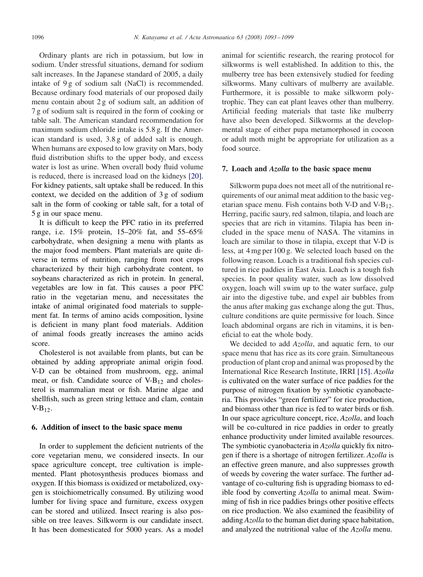Ordinary plants are rich in potassium, but low in sodium. Under stressful situations, demand for sodium salt increases. In the Japanese standard of 2005, a daily intake of 9g of sodium salt (NaCl) is recommended. Because ordinary food materials of our proposed daily menu contain about 2 g of sodium salt, an addition of 7 g of sodium salt is required in the form of cooking or table salt. The American standard recommendation for maximum sodium chloride intake is 5.8 g. If the American standard is used, 3.8 g of added salt is enough. When humans are exposed to low gravity on Mars, body fluid distribution shifts to the upper body, and excess water is lost as urine. When overall body fluid volume is reduced, there is increased load on the kidneys [\[20\].](#page-6-0) For kidney patients, salt uptake shall be reduced. In this context, we decided on the addition of 3 g of sodium salt in the form of cooking or table salt, for a total of 5 g in our space menu.

It is difficult to keep the PFC ratio in its preferred range, i.e. 15% protein, 15–20% fat, and 55–65% carbohydrate, when designing a menu with plants as the major food members. Plant materials are quite diverse in terms of nutrition, ranging from root crops characterized by their high carbohydrate content, to soybeans characterized as rich in protein. In general, vegetables are low in fat. This causes a poor PFC ratio in the vegetarian menu, and necessitates the intake of animal originated food materials to supplement fat. In terms of amino acids composition, lysine is deficient in many plant food materials. Addition of animal foods greatly increases the amino acids score.

Cholesterol is not available from plants, but can be obtained by adding appropriate animal origin food. V-D can be obtained from mushroom, egg, animal meat, or fish. Candidate source of  $V-B_{12}$  and cholesterol is mammalian meat or fish. Marine algae and shellfish, such as green string lettuce and clam, contain  $V-B_{12}$ .

#### **6. Addition of insect to the basic space menu**

In order to supplement the deficient nutrients of the core vegetarian menu, we considered insects. In our space agriculture concept, tree cultivation is implemented. Plant photosynthesis produces biomass and oxygen. If this biomass is oxidized or metabolized, oxygen is stoichiometrically consumed. By utilizing wood lumber for living space and furniture, excess oxygen can be stored and utilized. Insect rearing is also possible on tree leaves. Silkworm is our candidate insect. It has been domesticated for 5000 years. As a model

animal for scientific research, the rearing protocol for silkworms is well established. In addition to this, the mulberry tree has been extensively studied for feeding silkworms. Many cultivars of mulberry are available. Furthermore, it is possible to make silkworm polytrophic. They can eat plant leaves other than mulberry. Artificial feeding materials that taste like mulberry have also been developed. Silkworms at the developmental stage of either pupa metamorphosed in cocoon or adult moth might be appropriate for utilization as a food source.

#### **7. Loach and** *Azolla* **to the basic space menu**

Silkworm pupa does not meet all of the nutritional requirements of our animal meat addition to the basic vegetarian space menu. Fish contains both V-D and V-B12. Herring, pacific saury, red salmon, tilapia, and loach are species that are rich in vitamins. Tilapia has been included in the space menu of NASA. The vitamins in loach are similar to those in tilapia, except that V-D is less, at 4 mg per 100 g. We selected loach based on the following reason. Loach is a traditional fish species cultured in rice paddies in East Asia. Loach is a tough fish species. In poor quality water, such as low dissolved oxygen, loach will swim up to the water surface, gulp air into the digestive tube, and expel air bubbles from the anus after making gas exchange along the gut. Thus, culture conditions are quite permissive for loach. Since loach abdominal organs are rich in vitamins, it is beneficial to eat the whole body.

We decided to add *Azolla*, and aquatic fern, to our space menu that has rice as its core grain. Simultaneous production of plant crop and animal was proposed by the International Rice Research Institute, IRRI [\[15\].](#page-6-0) *Azolla* is cultivated on the water surface of rice paddies for the purpose of nitrogen fixation by symbiotic cyanobacteria. This provides "green fertilizer" for rice production, and biomass other than rice is fed to water birds or fish. In our space agriculture concept, rice, *Azolla*, and loach will be co-cultured in rice paddies in order to greatly enhance productivity under limited available resources. The symbiotic cyanobacteria in *Azolla* quickly fix nitrogen if there is a shortage of nitrogen fertilizer. *Azolla* is an effective green manure, and also suppresses growth of weeds by covering the water surface. The further advantage of co-culturing fish is upgrading biomass to edible food by converting *Azolla* to animal meat. Swimming of fish in rice paddies brings other positive effects on rice production. We also examined the feasibility of adding *Azolla* to the human diet during space habitation, and analyzed the nutritional value of the *Azolla* menu.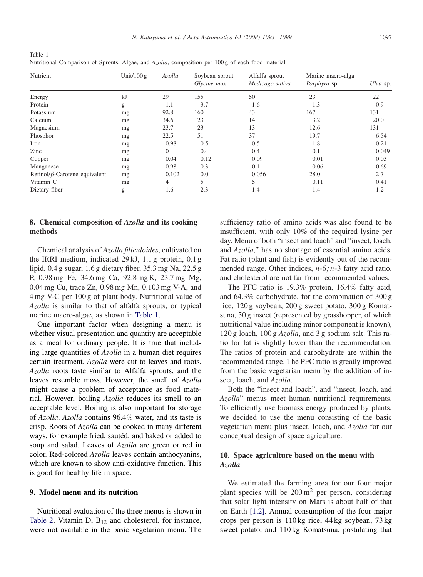Table 1 Nutritional Comparison of Sprouts, Algae, and *Azolla*, composition per 100 g of each food material

| Nutrient                              | Unit/ $100g$ | Azolla         | Soybean sprout | Alfalfa sprout  | Marine macro-alga |          |
|---------------------------------------|--------------|----------------|----------------|-----------------|-------------------|----------|
|                                       |              |                | Glycine max    | Medicago sativa | Porphyra sp.      | Ulva sp. |
| Energy                                | kJ           | 29             | 155            | 50              | 23                | 22       |
| Protein                               | g            | 1.1            | 3.7            | 1.6             | 1.3               | 0.9      |
| Potassium                             | mg           | 92.8           | 160            | 43              | 167               | 131      |
| Calcium                               | mg           | 34.6           | 23             | 14              | 3.2               | 20.0     |
| Magnesium                             | mg           | 23.7           | 23             | 13              | 12.6              | 131      |
| Phosphor                              | mg           | 22.5           | 51             | 37              | 19.7              | 6.54     |
| Iron                                  | mg           | 0.98           | 0.5            | 0.5             | 1.8               | 0.21     |
| Zinc                                  | mg           | $\overline{0}$ | 0.4            | 0.4             | 0.1               | 0.049    |
| Copper                                | mg           | 0.04           | 0.12           | 0.09            | 0.01              | 0.03     |
| Manganese                             | mg           | 0.98           | 0.3            | 0.1             | 0.06              | 0.69     |
| Retinol/ $\beta$ -Carotene equivalent | mg           | 0.102          | 0.0            | 0.056           | 28.0              | 2.7      |
| Vitamin C                             | mg           | $\overline{4}$ | 5              | 5               | 0.11              | 0.41     |
| Dietary fiber                         | g            | 1.6            | 2.3            | 1.4             | 1.4               | 1.2      |

## **8. Chemical composition of** *Azolla* **and its cooking methods**

Chemical analysis of *Azolla filiculoides*, cultivated on the IRRI medium, indicated 29 kJ, 1.1 g protein, 0.1 g lipid, 0.4 g sugar, 1.6 g dietary fiber, 35.3 mg Na, 22.5 g P, 0.98 mg Fe, 34.6 mg Ca, 92.8 mg K, 23.7 mg Mg, 0.04 mg Cu, trace Zn, 0.98 mg Mn, 0.103 mg V-A, and 4 mg V-C per 100 g of plant body. Nutritional value of *Azolla* is similar to that of alfalfa sprouts, or typical marine macro-algae, as shown in Table 1.

One important factor when designing a menu is whether visual presentation and quantity are acceptable as a meal for ordinary people. It is true that including large quantities of *Azolla* in a human diet requires certain treatment. *Azolla* were cut to leaves and roots. *Azolla* roots taste similar to Alfalfa sprouts, and the leaves resemble moss. However, the smell of *Azolla* might cause a problem of acceptance as food material. However, boiling *Azolla* reduces its smell to an acceptable level. Boiling is also important for storage of *Azolla*. *Azolla* contains 96.4% water, and its taste is crisp. Roots of *Azolla* can be cooked in many different ways, for example fried, sautéd, and baked or added to soup and salad. Leaves of *Azolla* are green or red in color. Red-colored *Azolla* leaves contain anthocyanins, which are known to show anti-oxidative function. This is good for healthy life in space.

## **9. Model menu and its nutrition**

Nutritional evaluation of the three menus is shown in [Table 2.](#page-5-0) Vitamin D,  $B_{12}$  and cholesterol, for instance, were not available in the basic vegetarian menu. The sufficiency ratio of amino acids was also found to be insufficient, with only 10% of the required lysine per day. Menu of both "insect and loach" and "insect, loach, and *Azolla*," has no shortage of essential amino acids. Fat ratio (plant and fish) is evidently out of the recommended range. Other indices,  $n-6/n-3$  fatty acid ratio, and cholesterol are not far from recommended values.

The PFC ratio is 19.3% protein, 16.4% fatty acid, and 64.3% carbohydrate, for the combination of 300 g rice, 120 g soybean, 200 g sweet potato, 300 g Komatsuna, 50 g insect (represented by grasshopper, of which nutritional value including minor component is known), 120 g loach, 100 g *Azolla*, and 3 g sodium salt. This ratio for fat is slightly lower than the recommendation. The ratios of protein and carbohydrate are within the recommended range. The PFC ratio is greatly improved from the basic vegetarian menu by the addition of insect, loach, and *Azolla*.

Both the "insect and loach", and "insect, loach, and *Azolla*" menus meet human nutritional requirements. To efficiently use biomass energy produced by plants, we decided to use the menu consisting of the basic vegetarian menu plus insect, loach, and *Azolla* for our conceptual design of space agriculture.

## **10. Space agriculture based on the menu with** *Azolla*

We estimated the farming area for our four major plant species will be  $200 \text{ m}^2$  per person, considering that solar light intensity on Mars is about half of that on Earth [1,2]. Annual consumption of the four major crops per person is 110 kg rice, 44 kg soybean, 73 kg sweet potato, and 110 kg Komatsuna, postulating that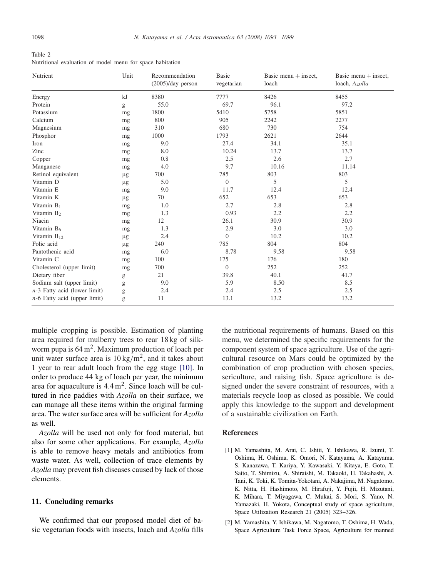<span id="page-5-0"></span>Table 2 Nutritional evaluation of model menu for space habitation

| Nutrient                       | Unit    | Recommendation<br>$(2005)/day$ person | <b>Basic</b><br>vegetarian | Basic menu $+$ insect,<br>loach | Basic menu $+$ insect,<br>loach, Azolla |
|--------------------------------|---------|---------------------------------------|----------------------------|---------------------------------|-----------------------------------------|
| Energy                         | kJ      | 8380                                  | 7777                       | 8426                            | 8455                                    |
| Protein                        | g       | 55.0                                  | 69.7                       | 96.1                            | 97.2                                    |
| Potassium                      | mg      | 1800                                  | 5410                       | 5758                            | 5851                                    |
| Calcium                        | mg      | 800                                   | 905                        | 2242                            | 2277                                    |
| Magnesium                      | mg      | 310                                   | 680                        | 730                             | 754                                     |
| Phosphor                       | mg      | 1000                                  | 1793                       | 2621                            | 2644                                    |
| Iron                           | mg      | 9.0                                   | 27.4                       | 34.1                            | 35.1                                    |
| Zinc                           | mg      | 8.0                                   | 10.24                      | 13.7                            | 13.7                                    |
| Copper                         | mg      | 0.8                                   | 2.5                        | 2.6                             | 2.7                                     |
| Manganese                      | mg      | 4.0                                   | 9.7                        | 10.16                           | 11.14                                   |
| Retinol equivalent             | $\mu$ g | 700                                   | 785                        | 803                             | 803                                     |
| Vitamin D                      | $\mu$ g | 5.0                                   | $\overline{0}$             | 5                               | 5                                       |
| Vitamin E                      | mg      | 9.0                                   | 11.7                       | 12.4                            | 12.4                                    |
| Vitamin K                      | $\mu$ g | 70                                    | 652                        | 653                             | 653                                     |
| Vitamin $B_1$                  | mg      | 1.0                                   | 2.7                        | 2.8                             | 2.8                                     |
| Vitamin B <sub>2</sub>         | mg      | 1.3                                   | 0.93                       | 2.2                             | 2.2                                     |
| Niacin                         | mg      | 12                                    | 26.1                       | 30.9                            | 30.9                                    |
| Vitamin $B_6$                  | mg      | 1.3                                   | 2.9                        | 3.0                             | 3.0                                     |
| Vitamin $B_{12}$               | $\mu$ g | 2.4                                   | $\boldsymbol{0}$           | 10.2                            | 10.2                                    |
| Folic acid                     | $\mu$ g | 240                                   | 785                        | 804                             | 804                                     |
| Pantothenic acid               | mg      | 6.0                                   | 8.78                       | 9.58                            | 9.58                                    |
| Vitamin C                      | mg      | 100                                   | 175                        | 176                             | 180                                     |
| Cholesterol (upper limit)      | mg      | 700                                   | $\boldsymbol{0}$           | 252                             | 252                                     |
| Dietary fiber                  | g       | 21                                    | 39.8                       | 40.1                            | 41.7                                    |
| Sodium salt (upper limit)      | ġ       | 9.0                                   | 5.9                        | 8.50                            | 8.5                                     |
| $n-3$ Fatty acid (lower limit) | g       | 2.4                                   | 2.4                        | 2.5                             | 2.5                                     |
| $n-6$ Fatty acid (upper limit) | g       | 11                                    | 13.1                       | 13.2                            | 13.2                                    |

multiple cropping is possible. Estimation of planting area required for mulberry trees to rear 18 kg of silkworm pupa is  $64 \text{ m}^2$ . Maximum production of loach per unit water surface area is  $10 \text{ kg/m}^2$ , and it takes about 1 year to rear adult loach from the egg stage [\[10\].](#page-6-0) In order to produce 44 kg of loach per year, the minimum area for aquaculture is  $4.4 \,\mathrm{m}^2$ . Since loach will be cultured in rice paddies with *Azolla* on their surface, we can manage all these items within the original farming area. The water surface area will be sufficient for *Azolla* as well.

*Azolla* will be used not only for food material, but also for some other applications. For example, *Azolla* is able to remove heavy metals and antibiotics from waste water. As well, collection of trace elements by *Azolla* may prevent fish diseases caused by lack of those elements.

#### **11. Concluding remarks**

We confirmed that our proposed model diet of basic vegetarian foods with insects, loach and *Azolla* fills the nutritional requirements of humans. Based on this menu, we determined the specific requirements for the component system of space agriculture. Use of the agricultural resource on Mars could be optimized by the combination of crop production with chosen species, sericulture, and raising fish. Space agriculture is designed under the severe constraint of resources, with a materials recycle loop as closed as possible. We could apply this knowledge to the support and development of a sustainable civilization on Earth.

#### **References**

- [1] M. Yamashita, M. Arai, C. Ishiii, Y. Ishikawa, R. Izumi, T. Oshima, H. Oshima, K. Omori, N. Katayama, A. Katayama, S. Kanazawa, T. Kariya, Y. Kawasaki, Y. Kitaya, E. Goto, T. Saito, T. Shimizu, A. Shiraishi, M. Takaoki, H. Takahashi, A. Tani, K. Toki, K. Tomita-Yokotani, A. Nakajima, M. Nagatomo, K. Nitta, H. Hashimoto, M. Hirafuji, Y. Fujii, H. Mizutani, K. Mihara, T. Miyagawa, C. Mukai, S. Mori, S. Yano, N. Yamazaki, H. Yokota, Conceptual study of space agriculture, Space Utilization Research 21 (2005) 323–326.
- [2] M. Yamashita, Y. Ishikawa, M. Nagatomo, T. Oshima, H. Wada, Space Agriculture Task Force Space, Agriculture for manned